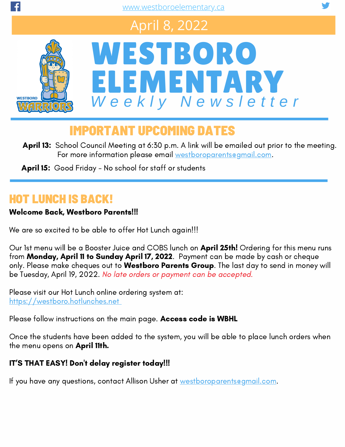# April 8, 2022





## IMPORTANT UPCOMING DATES

April 13: School Council Meeting at 6:30 p.m. A link will be emailed out prior to the meeting. For more information please email [westboroparents@gmail.com](mailto:westboroparents@gmail.com).

April 15: Good Friday - No school for staff or students

### HOT LUNCH IS BACK!

#### Welcome Back, Westboro Parents!!!

We are so excited to be able to offer Hot Lunch again!!!

Our 1st menu will be a Booster Juice and COBS lunch on April 25th! Ordering for this menu runs from Monday, April 11 to Sunday April 17, 2022. Payment can be made by cash or cheque only. Please make cheques out to Westboro Parents Group. The last day to send in money will be Tuesday, April 19, 2022. No late orders or payment can be accepted.

Please visit our Hot Lunch online [o](https://westboro.hotlunches.net/admin/?sid=&un=0)rdering system at: [https://westboro.hotlunches.net](https://westboro.hotlunches.net/admin/?sid=&un=0)

Please follow instructions on the main page. Access code is WBHL

Once the students have been added to the system, you will be able to place lunch orders when the menu opens on April 11th.

#### IT'S THAT EASY! Don't delay register today!!!

If you have any questions, contact Allison Usher at [westboroparents@gmail.com](mailto:westboroparents@gmail.com).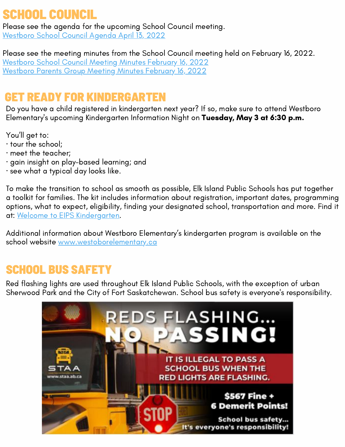## SCHOOL COUNCIL

Please see the agenda for the upcoming School Council meeting. [Westboro](https://www.westboroelementary.ca/download/386431) School Council Agenda April 13, 2022

Please see the meeting minutes from the School Council meeting held on February 16, 2022. [Westboro](https://www.westboroelementary.ca/download/384604) School Council Meeting Minutes February 16, 2022 [Westboro](https://www.westboroelementary.ca/download/384602) Parents Group Meeting Minutes February 16, 2022

## GET READY FOR KINDERGARTEN

Do you have a child registered in kindergarten next year? If so, make sure to attend Westboro Elementary's upcoming Kindergarten Information Night on Tuesday, May 3 at 6:30 p.m.

You'll get to:

- · tour the school;
- · meet the teacher;
- · gain insight on play-based learning; and
- · see what a typical day looks like.

To make the transition to school as smooth as possible, Elk Island Public Schools has put together a toolkit for families. The kit includes information about registration, important dates, programming options, what to expect, eligibility, finding your designated school, transportation and more. Find it at: Welcome to EIPS [Kindergarten](https://www.eips.ca/programs-services/early-learning/kindergarten).

Additional information about Westboro Elementary's kindergarten program is available on the school website [www.westoborelementary.ca](https://www.westboroelementary.ca/about/kindergarten)

### SCHOOL BUS SAFETY

Red flashing lights are used throughout Elk Island Public [Schools,](https://www.facebook.com/ElkIslandPublicSchools/?__cft__[0]=AZVGBs3V1xdAOYWV6_-zShd1KuHU22_ZRySnFDpbKexLkwQgflcjsGwqFrVJA-xfDTOKF3BW4oO7cpp5HhcjpdMbCQfzju2LsgYSzWt1VuzYCao5q0P3FWfgxurfgfWlOMJAxKydEe_tdA2K_MI03Kh_&__tn__=kK-R) with the exception of urban Sherwood Park and the City of Fort Saskatchewan. School bus safety is everyone's responsibility.

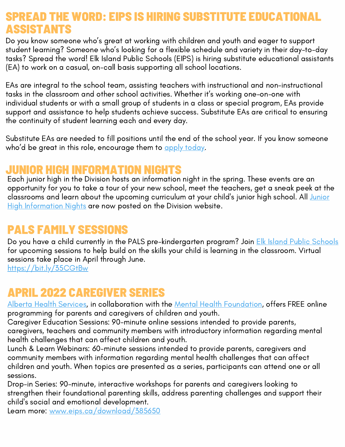### RD: EIPS IS HIRING SUBSTITUT ASSISTANTS

Do you know someone who's great at working with children and youth and eager to support student learning? Someone who's looking for a flexible schedule and variety in their day-to-day tasks? Spread the word! Elk Island Public Schools (EIPS) is hiring substitute educational assistants (EA) to work on a casual, on-call basis supporting all school locations.

EAs are integral to the school team, assisting teachers with instructional and non-instructional tasks in the classroom and other school activities. Whether it's working one-on-one with individual students or with a small group of students in a class or special program, EAs provide support and assistance to help students achieve success. Substitute EAs are critical to ensuring the continuity of student learning each and every day.

Substitute EAs are needed to fill positions until the end of the school year. If you know someone who'd be great in this role, encourage them to apply [today](https://www.eips.ca/nowhiring).

#### **JUNIOR HIGH INFORMATION NIG**

Each junior high in the Division hosts an information night in the spring. These events are an opportunity for you to take a tour of your new school, meet the teachers, get a sneak peek at the classrooms and learn about the upcoming curriculum at your child's junior high school. All Junior High [Information](https://www.eips.ca/registration/junior-high) Nights are now posted on the Division website.

## PALS FAMILY SESSIONS

Do you have a child currently in the PALS pre-kindergarten program? Join Elk Island Public [Schools](https://www.eips.ca/?fbclid=IwAR1tWte9Be5isD0iFx6UgsHwQEDpNbe9ljLzDtEGJnwynaMY2DBdSvYBOXg) for upcoming sessions to help build on the skills your child is learning in the classroom. Virtual sessions take place in April through June.

[https://bit.ly/35CGtBw](https://www.eips.ca/programs-services/early-learning/pre-kindergarten/pals-family-sessions?fbclid=IwAR1GYJl7-eQfB0rcqER0oo48FauOSC6_B7jHrCrhyNU2WPH8pb1H2l_q4qc)

### APRIL 2022 CAREGIVER SERIES

Alberta Health [Services,](https://www.facebook.com/albertahealthservices) in collaboration with the Mental Health [Foundation,](https://www.facebook.com/mentalhealthfoundation/) offers FREE online programming for parents and caregivers of children and youth.

Caregiver Education Sessions: 90-minute online sessions intended to provide parents, caregivers, teachers and community members with introductory information regarding mental health challenges that can affect children and youth.

Lunch & Learn Webinars: 60-minute sessions intended to provide parents, caregivers and community members with information regarding mental health challenges that can affect children and youth. When topics are presented as a series, participants can attend one or all sessions.

Drop-in Series: 90-minute, interactive workshops for parents and caregivers looking to strengthen their foundational parenting skills, address parenting challenges and support their child's social and emotional development.

Learn more: [www.eips.ca/download/385650](https://drive.google.com/file/d/1m-xQqSVn1C7Vq_BOcEAXsXgBjtyPoH_G/view)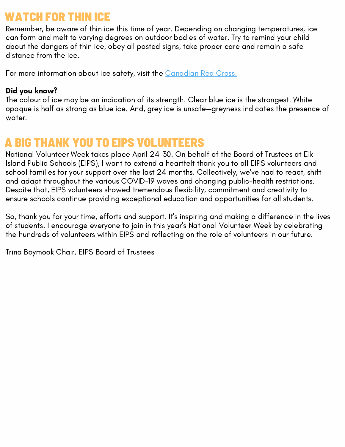### WATCH FOR THIN ICE

Remember, be aware of thin ice this time of year. Depending on changing temperatures, ice can form and melt to varying degrees on outdoor bodies of water. Try to remind your child about the dangers of thin ice, obey all posted signs, take proper care and remain a safe distance from the ice.

For more information about ice safety, visit the [Canadian](https://www.redcross.ca/training-and-certification/swimming-and-water-safety-tips-and-resources/swimming-boating-and-water-safety-tips/ice-safety) Red Cross.

#### Did you know?

The colour of ice may be an indication of its strength. Clear blue ice is the strongest. White opaque is half as strong as blue ice. And, grey ice is unsafe—greyness indicates the presence of water.

### **BIG THANK YOU TO EIPS VOLUNTEERS**

National Volunteer Week takes place April 24-30. On behalf of the Board of Trustees at Elk Island Public Schools (EIPS), I want to extend a heartfelt thank you to all EIPS volunteers and school families for your support over the last 24 months. Collectively, we've had to react, shift and adapt throughout the various COVID-19 waves and changing public-health restrictions. Despite that, EIPS volunteers showed tremendous flexibility, commitment and creativity to ensure schools continue providing exceptional education and opportunities for all students.

So, thank you for your time, efforts and support. It's inspiring and making a difference in the lives of students. I encourage everyone to join in this year's National Volunteer Week by celebrating the hundreds of volunteers within EIPS and reflecting on the role of volunteers in our future.

Trina Boymook Chair, EIPS Board of Trustees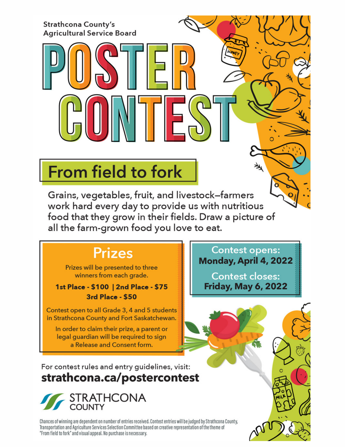#### **Strathcona County's Agricultural Service Board**

# **From field to fork**

Grains, vegetables, fruit, and livestock-farmers work hard every day to provide us with nutritious food that they grow in their fields. Draw a picture of all the farm-grown food you love to eat.

## **Prizes**

Prizes will be presented to three winners from each grade.

#### 1st Place - \$100 | 2nd Place - \$75 3rd Place - \$50

Contest open to all Grade 3, 4 and 5 students in Strathcona County and Fort Saskatchewan.

In order to claim their prize, a parent or legal quardian will be required to sign a Release and Consent form.

For contest rules and entry guidelines, visit: strathcona.ca/postercontest



Chances of winning are dependent on number of entries received. Contest entries will be judged by Strathcona County, Transportation and Agriculture Services Selection Committee based on creative representation of the theme of "From field to fork" and visual appeal. No purchase is necessary.

**Contest opens:** Monday, April 4, 2022

乄

**Contest closes: Friday, May 6, 2022**